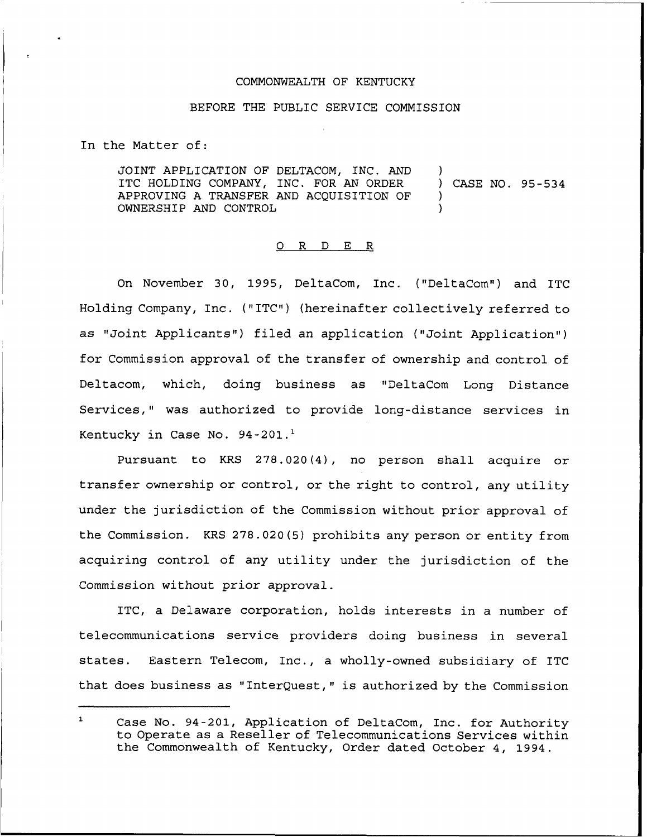## COMMONWEALTH OF KENTUCKY

## BEFORE THE PUBLIC SERVICE COMMISSION

In the Matter of:

JOINT APPLICATION OF DELTACOM, INC. AND ITC HOLDING COMPANY, INC. FOR AN ORDER APPROVING A TRANSFER AND ACQUISITION OF OWNERSHIP AND CONTROL ) ) CASE NO. 95-534 ) )

## 0 <sup>R</sup> <sup>D</sup> E R

On November 30, 1995, DeltaCom, Inc. ("DeltaCom") and ITC Holding Company, Inc. ("ITC") (hereinafter collectively referred to as "Joint Applicants") filed an application ("Joint Application") for Commission approval of the transfer of ownership and control of Deltacom, which, doing business as "DeltaCom Long Distance Services," was authorized to provide long-distance services in Kentucky in Case No. 94-201.<sup>1</sup>

Pursuant to KRS  $278.020(4)$ , no person shall acquire or transfer ownership or control, or the right to control, any utility under the jurisdiction of the Commission without prior approval of the Commission. KRS 278.020(5) prohibits any person or entity from acquiring control of any utility under the jurisdiction of the Commission without prior approval.

ITC, a Delaware corporation, holds interests in a number of telecommunications service providers doing business in several states. Eastern Telecom, Inc., a wholly-owned subsidiary of ITC that does business as "Interguest," is authorized by the Commission

 $\mathbf{1}$ Case No. 94-201, Application of DeltaCom, Inc. for Authority to Operate as a Reseller of Telecommunications Services within the Commonwealth of Kentucky, Order dated October 4, 1994.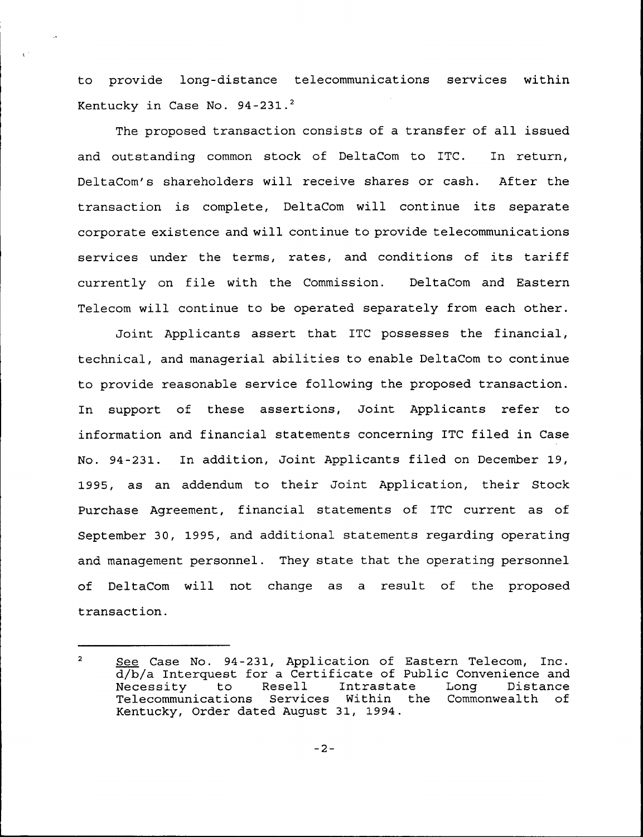to provide long-distance telecommunications services within Kentucky in Case No.  $94-231.^2$ 

The proposed transaction consists of a transfer of all issued and outstanding common stock of DeltaCom to ITC. In return, DeltaCom's shareholders will receive shares or cash. After the transaction is complete, DeltaCom will continue its separate corporate existence and will continue to provide telecommunications services under the terms, rates, and conditions of its tariff currently on file with the Commission. DeltaCom and Eastern Telecom will continue to be operated separately from each other.

Joint Applicants assert that ITC possesses the financial, technical, and managerial abilities to enable DeltaCom to continue to provide reasonable service following the proposed transaction. In support of these assertions, Joint Applicants refer to information and financial statements concerning ITC filed in Case No. 94-231. In addition, Joint Applicants filed on December 19, 1995, as an addendum to their Joint Application, their Stock Purchase Agreement, financial statements of ITC current as of September 30, 1995, and additional statements regarding operating and management personnel. They state that the operating personnel of DeltaCom will not change as a result of the proposed transaction.

 $\overline{2}$ See Case No. 94-231, Application of Eastern Telecom, Inc. d/b/a Interquest for a Certificate of Public Convenience and a, a interface for a coronal contracte tenterate of the Distance Necessity to Resell Intrastate Long Distance<br>Telecommunications Services Within the Commonwealth of Kentucky, Order dated August 31, 1994.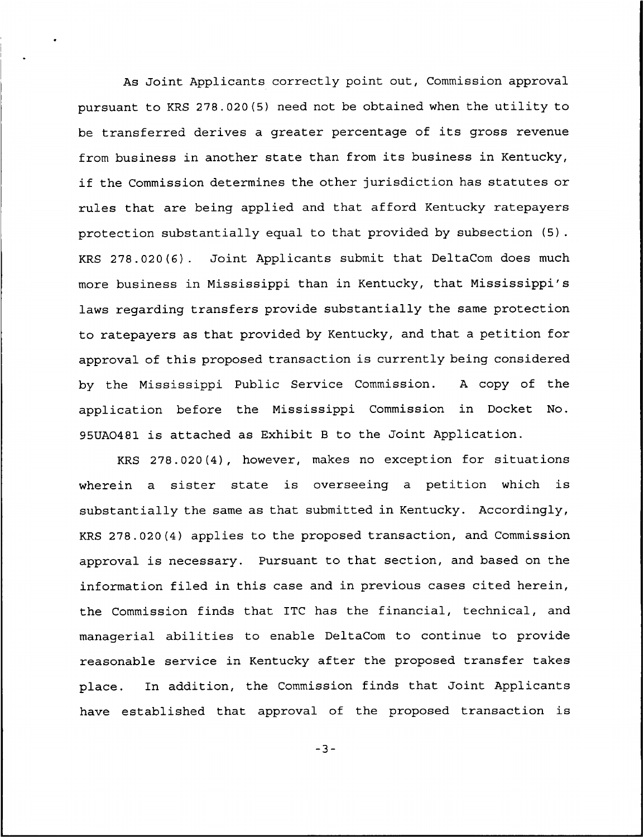As Joint Applicants correctly point out, Commission approval pursuant to KRS 278.020(5) need not be obtained when the utility to be transferred. derives <sup>a</sup> greater percentage of its gross revenue from business in another state than from its business in Kentucky, if the Commission determines the other jurisdiction has statutes or rules that are being applied and that afford Kentucky ratepayers protection substantially equal to that provided by subsection (5). KRS 278.020(6). Joint Applicants submit that DeltaCom does much more business in Nississippi than in Kentucky, that Mississippi's laws regarding transfers provide substantially the same protection to ratepayers as that provided by Kentucky, and that a petition for approval of this proposed transaction is currently being considered by the Mississippi Public Service Commission. <sup>A</sup> copy of the application before the Nississippi Commission in Docket No. 95UA0481 is attached as Exhibit <sup>B</sup> to the Joint Application.

KRS 278.020(4), however, makes no exception for situations wherein a sister state is overseeing a petition which is substantially the same as that submitted in Kentucky. Accordingly, KRS 278.020(4) applies to the proposed transaction, and Commission approval is necessary. Pursuant to that section, and based on the information filed in this case and in previous cases cited herein, the Commission finds that ITC has the financial, technical, and managerial abilities to enable DeltaCom to continue to provide reasonable service in Kentucky after the proposed transfer takes place. In addition, the Commission finds that Joint Applicants have established that approval of the proposed transaction is

 $-3-$